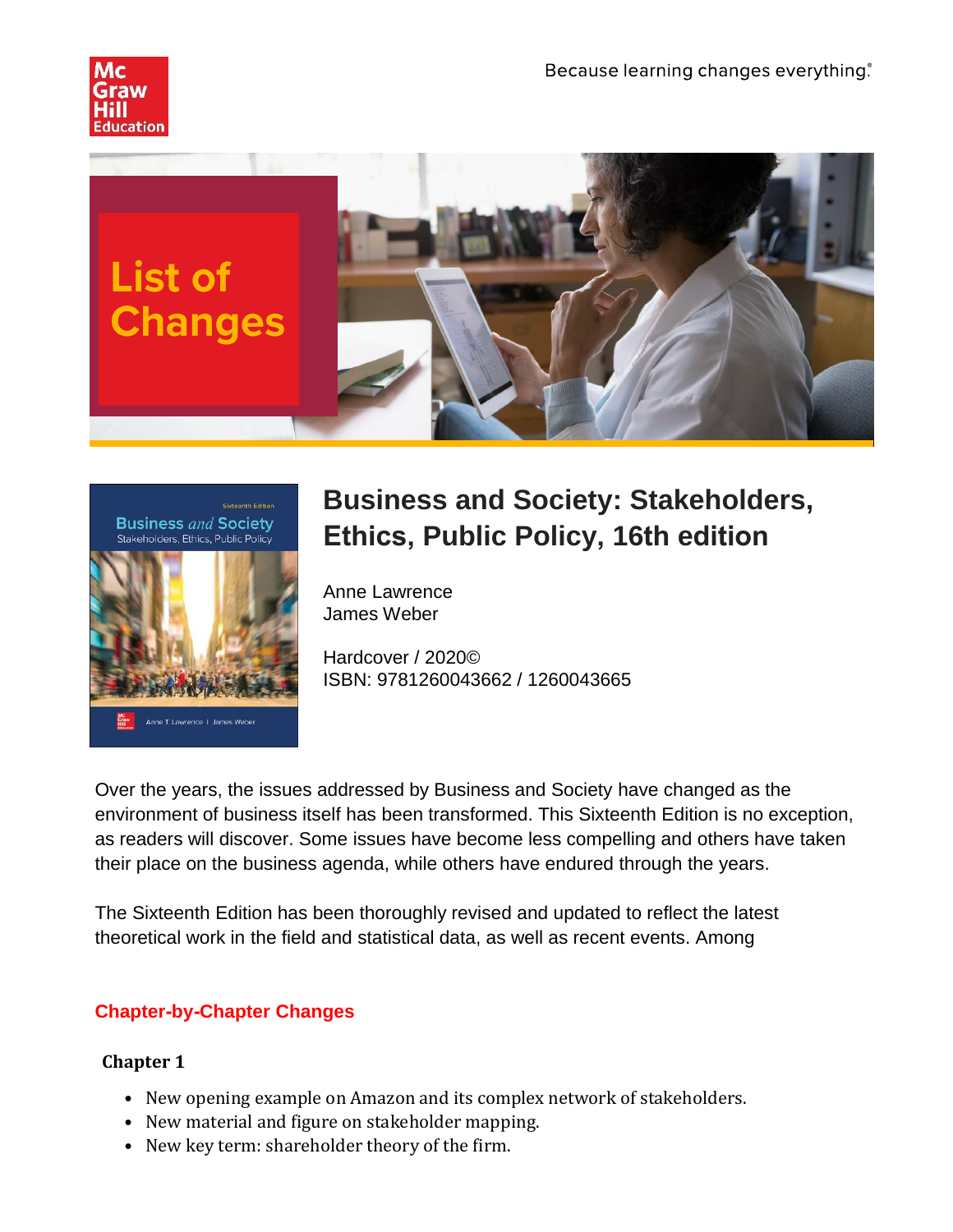





# **Business and Society: Stakeholders, Ethics, Public Policy, 16th edition**

Anne Lawrence James Weber

Hardcover / 2020© ISBN: 9781260043662 / 1260043665

Over the years, the issues addressed by Business and Society have changed as the environment of business itself has been transformed. This Sixteenth Edition is no exception, as readers will discover. Some issues have become less compelling and others have taken their place on the business agenda, while others have endured through the years.

The Sixteenth Edition has been thoroughly revised and updated to reflect the latest theoretical work in the field and statistical data, as well as recent events. Among

## **Chapter-by-Chapter Changes**

- New opening example on Amazon and its complex network of stakeholders.
- New material and figure on stakeholder mapping.
- New key term: shareholder theory of the firm.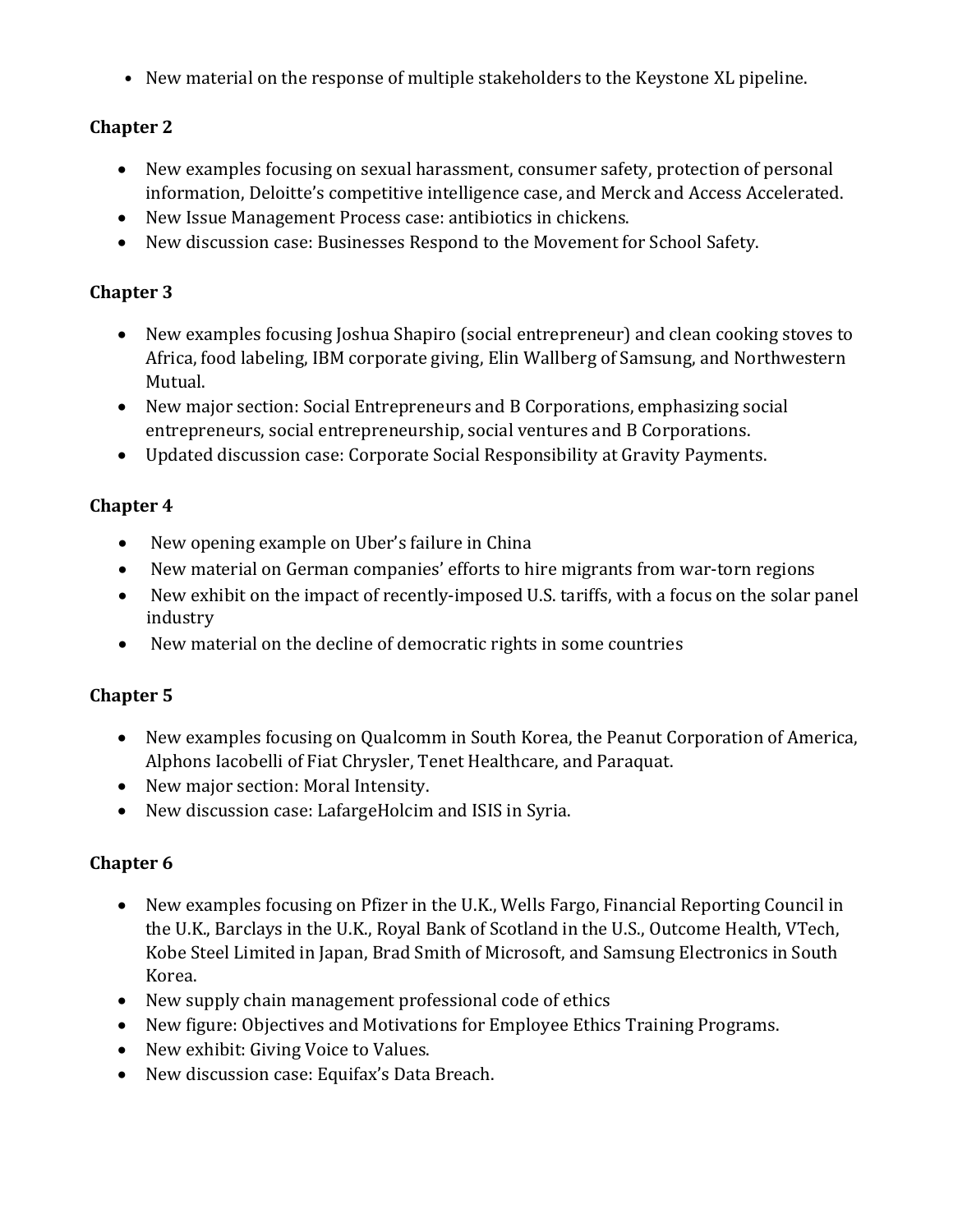• New material on the response of multiple stakeholders to the Keystone XL pipeline.

## **Chapter 2**

- New examples focusing on sexual harassment, consumer safety, protection of personal information, Deloitte's competitive intelligence case, and Merck and Access Accelerated.
- New Issue Management Process case: antibiotics in chickens.
- New discussion case: Businesses Respond to the Movement for School Safety.

#### **Chapter 3**

- New examples focusing Joshua Shapiro (social entrepreneur) and clean cooking stoves to Africa, food labeling, IBM corporate giving, Elin Wallberg of Samsung, and Northwestern Mutual.
- New major section: Social Entrepreneurs and B Corporations, emphasizing social entrepreneurs, social entrepreneurship, social ventures and B Corporations.
- Updated discussion case: Corporate Social Responsibility at Gravity Payments.

## **Chapter 4**

- New opening example on Uber's failure in China
- New material on German companies' efforts to hire migrants from war-torn regions
- New exhibit on the impact of recently-imposed U.S. tariffs, with a focus on the solar panel industry
- New material on the decline of democratic rights in some countries

## **Chapter 5**

- New examples focusing on Qualcomm in South Korea, the Peanut Corporation of America, Alphons Iacobelli of Fiat Chrysler, Tenet Healthcare, and Paraquat.
- New major section: Moral Intensity.
- New discussion case: LafargeHolcim and ISIS in Syria.

- New examples focusing on Pfizer in the U.K., Wells Fargo, Financial Reporting Council in the U.K., Barclays in the U.K., Royal Bank of Scotland in the U.S., Outcome Health, VTech, Kobe Steel Limited in Japan, Brad Smith of Microsoft, and Samsung Electronics in South Korea.
- New supply chain management professional code of ethics
- New figure: Objectives and Motivations for Employee Ethics Training Programs.
- New exhibit: Giving Voice to Values.
- New discussion case: Equifax's Data Breach.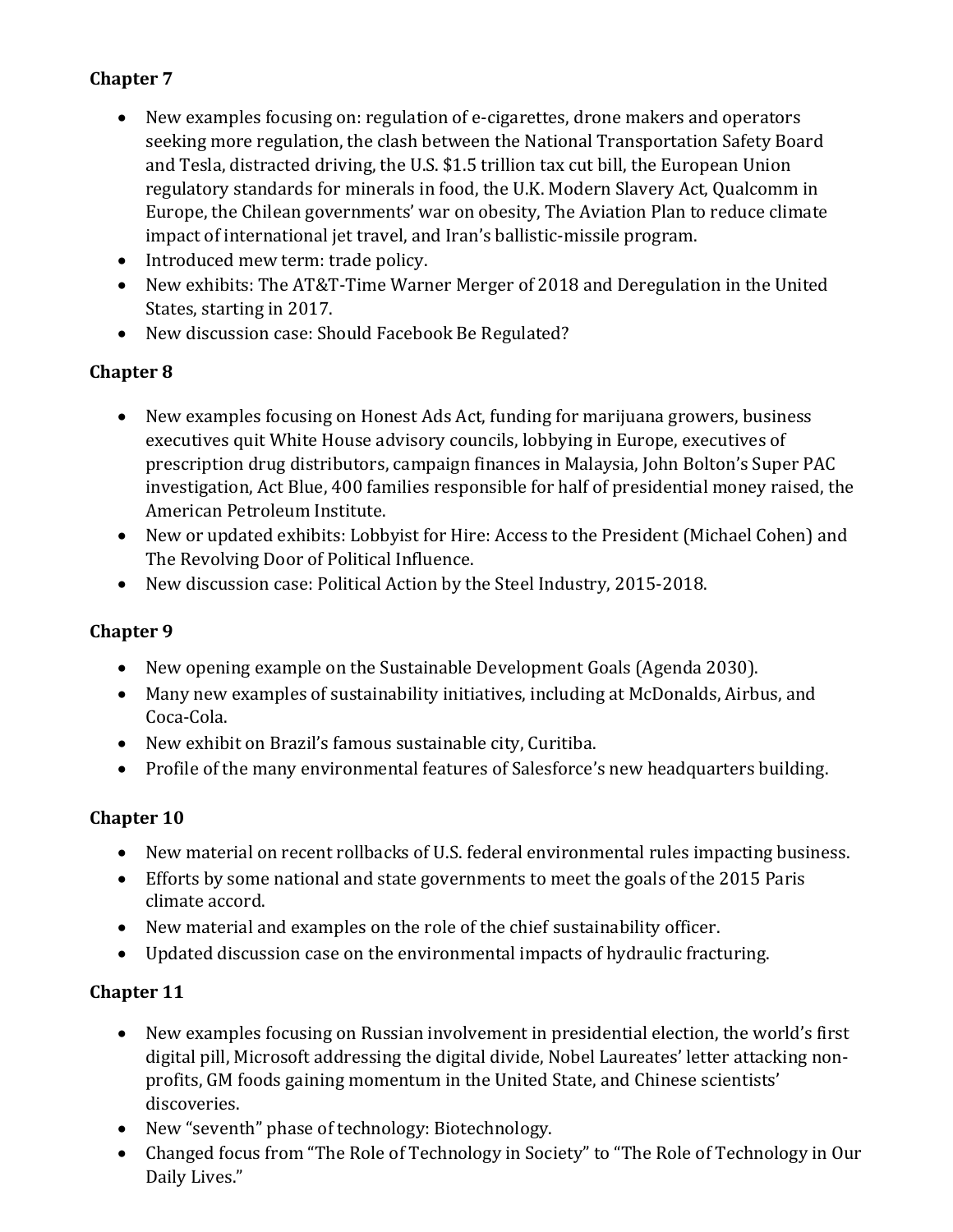## **Chapter 7**

- New examples focusing on: regulation of e-cigarettes, drone makers and operators seeking more regulation, the clash between the National Transportation Safety Board and Tesla, distracted driving, the U.S. \$1.5 trillion tax cut bill, the European Union regulatory standards for minerals in food, the U.K. Modern Slavery Act, Qualcomm in Europe, the Chilean governments' war on obesity, The Aviation Plan to reduce climate impact of international jet travel, and Iran's ballistic-missile program.
- Introduced mew term: trade policy.
- New exhibits: The AT&T-Time Warner Merger of 2018 and Deregulation in the United States, starting in 2017.
- New discussion case: Should Facebook Be Regulated?

#### **Chapter 8**

- New examples focusing on Honest Ads Act, funding for marijuana growers, business executives quit White House advisory councils, lobbying in Europe, executives of prescription drug distributors, campaign finances in Malaysia, John Bolton's Super PAC investigation, Act Blue, 400 families responsible for half of presidential money raised, the American Petroleum Institute.
- New or updated exhibits: Lobbyist for Hire: Access to the President (Michael Cohen) and The Revolving Door of Political Influence.
- New discussion case: Political Action by the Steel Industry, 2015-2018.

## **Chapter 9**

- New opening example on the Sustainable Development Goals (Agenda 2030).
- Many new examples of sustainability initiatives, including at McDonalds, Airbus, and Coca-Cola.
- New exhibit on Brazil's famous sustainable city, Curitiba.
- Profile of the many environmental features of Salesforce's new headquarters building.

## **Chapter 10**

- New material on recent rollbacks of U.S. federal environmental rules impacting business.
- Efforts by some national and state governments to meet the goals of the 2015 Paris climate accord.
- New material and examples on the role of the chief sustainability officer.
- Updated discussion case on the environmental impacts of hydraulic fracturing.

- New examples focusing on Russian involvement in presidential election, the world's first digital pill, Microsoft addressing the digital divide, Nobel Laureates' letter attacking nonprofits, GM foods gaining momentum in the United State, and Chinese scientists' discoveries.
- New "seventh" phase of technology: Biotechnology.
- Changed focus from "The Role of Technology in Society" to "The Role of Technology in Our Daily Lives."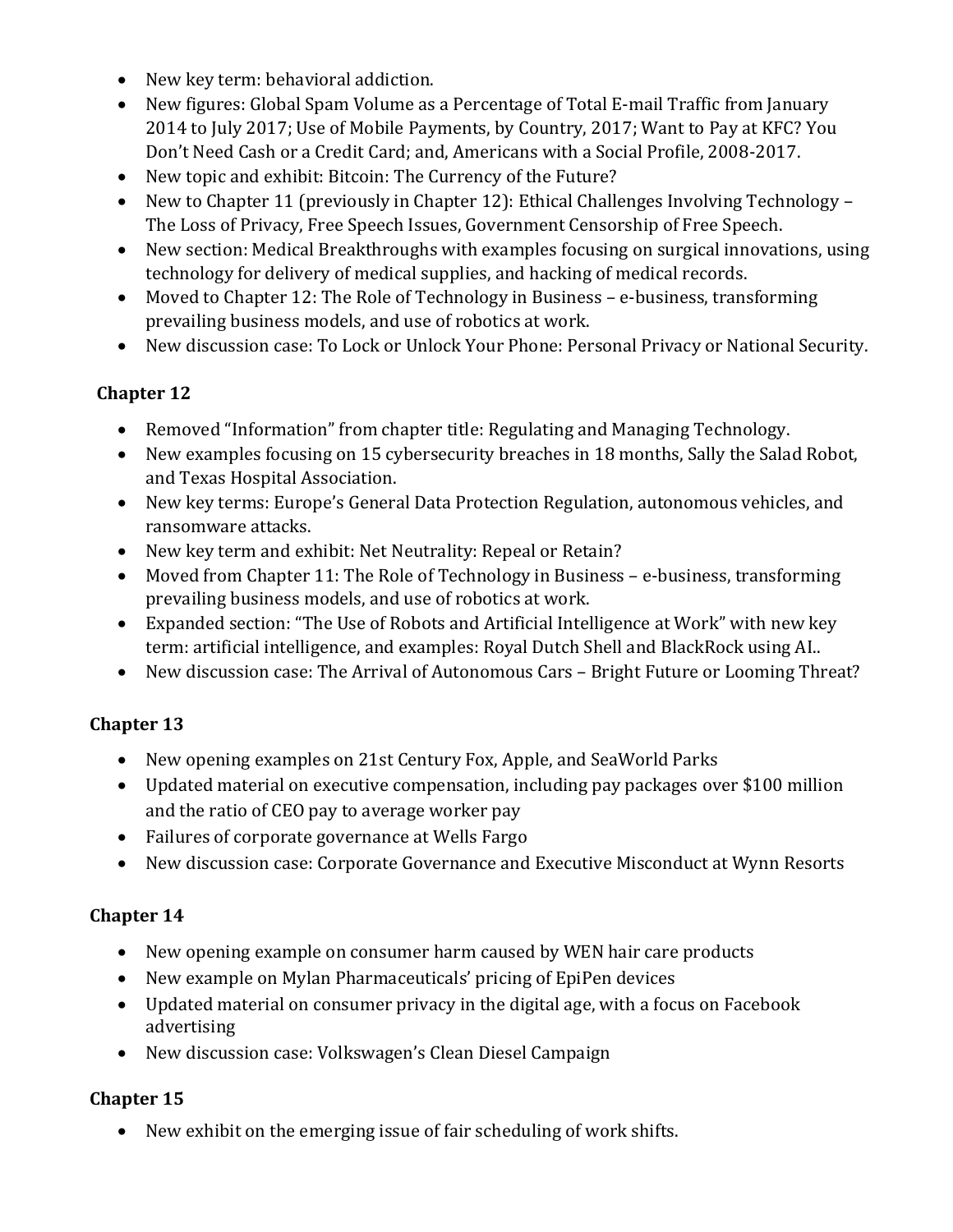- New key term: behavioral addiction.
- New figures: Global Spam Volume as a Percentage of Total E-mail Traffic from January 2014 to July 2017; Use of Mobile Payments, by Country, 2017; Want to Pay at KFC? You Don't Need Cash or a Credit Card; and, Americans with a Social Profile, 2008-2017.
- New topic and exhibit: Bitcoin: The Currency of the Future?
- New to Chapter 11 (previously in Chapter 12): Ethical Challenges Involving Technology The Loss of Privacy, Free Speech Issues, Government Censorship of Free Speech.
- New section: Medical Breakthroughs with examples focusing on surgical innovations, using technology for delivery of medical supplies, and hacking of medical records.
- Moved to Chapter 12: The Role of Technology in Business e-business, transforming prevailing business models, and use of robotics at work.
- New discussion case: To Lock or Unlock Your Phone: Personal Privacy or National Security.

## **Chapter 12**

- Removed "Information" from chapter title: Regulating and Managing Technology.
- New examples focusing on 15 cybersecurity breaches in 18 months, Sally the Salad Robot, and Texas Hospital Association.
- New key terms: Europe's General Data Protection Regulation, autonomous vehicles, and ransomware attacks.
- New key term and exhibit: Net Neutrality: Repeal or Retain?
- Moved from Chapter 11: The Role of Technology in Business e-business, transforming prevailing business models, and use of robotics at work.
- Expanded section: "The Use of Robots and Artificial Intelligence at Work" with new key term: artificial intelligence, and examples: Royal Dutch Shell and BlackRock using AI..
- New discussion case: The Arrival of Autonomous Cars Bright Future or Looming Threat?

# **Chapter 13**

- New opening examples on 21st Century Fox, Apple, and SeaWorld Parks
- Updated material on executive compensation, including pay packages over \$100 million and the ratio of CEO pay to average worker pay
- Failures of corporate governance at Wells Fargo
- New discussion case: Corporate Governance and Executive Misconduct at Wynn Resorts

# **Chapter 14**

- New opening example on consumer harm caused by WEN hair care products
- New example on Mylan Pharmaceuticals' pricing of EpiPen devices
- Updated material on consumer privacy in the digital age, with a focus on Facebook advertising
- New discussion case: Volkswagen's Clean Diesel Campaign

# **Chapter 15**

• New exhibit on the emerging issue of fair scheduling of work shifts.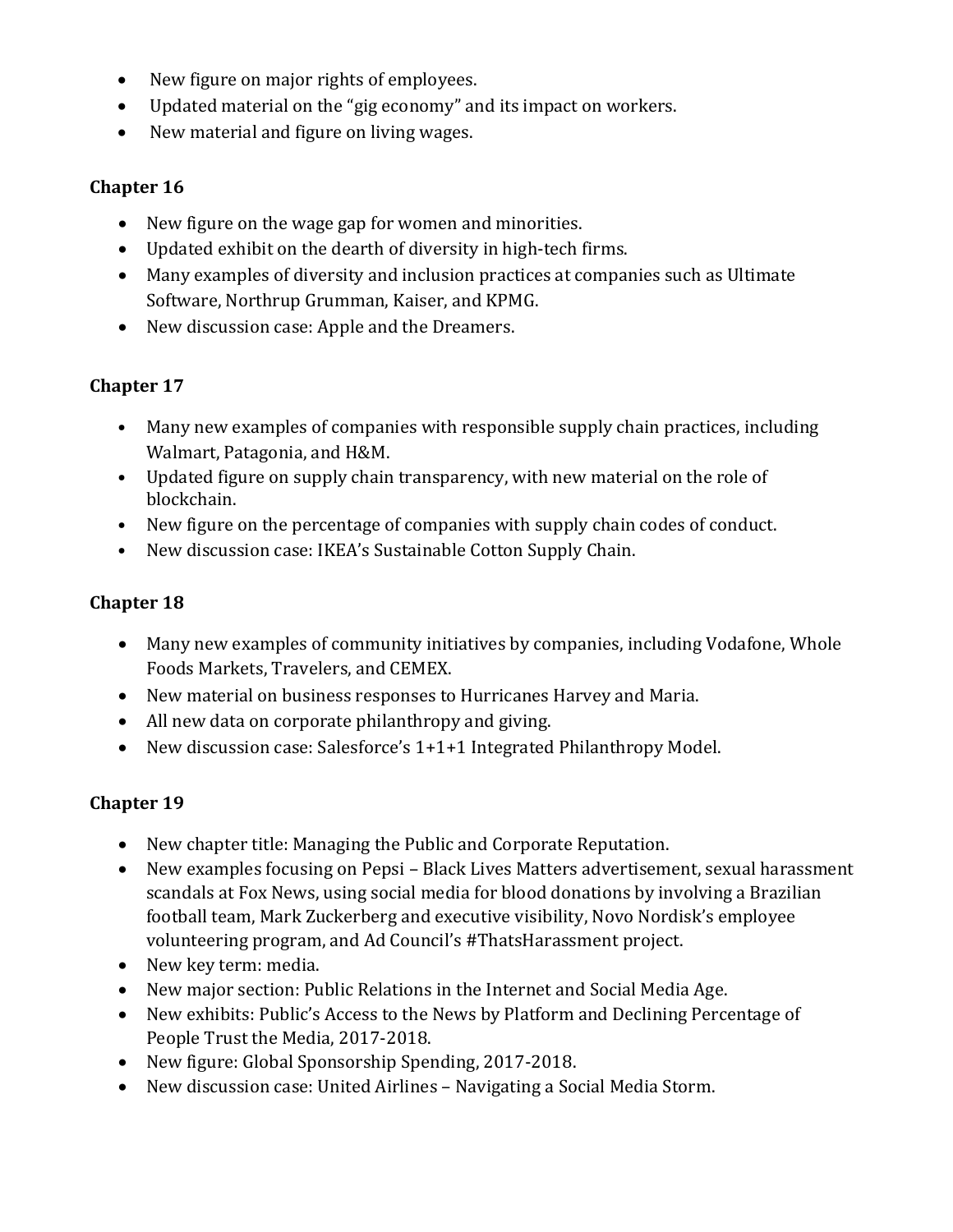- New figure on major rights of employees.
- Updated material on the "gig economy" and its impact on workers.
- New material and figure on living wages.

#### **Chapter 16**

- New figure on the wage gap for women and minorities.
- Updated exhibit on the dearth of diversity in high-tech firms.
- Many examples of diversity and inclusion practices at companies such as Ultimate Software, Northrup Grumman, Kaiser, and KPMG.
- New discussion case: Apple and the Dreamers.

## **Chapter 17**

- Many new examples of companies with responsible supply chain practices, including Walmart, Patagonia, and H&M.
- Updated figure on supply chain transparency, with new material on the role of blockchain.
- New figure on the percentage of companies with supply chain codes of conduct.
- New discussion case: IKEA's Sustainable Cotton Supply Chain.

#### **Chapter 18**

- Many new examples of community initiatives by companies, including Vodafone, Whole Foods Markets, Travelers, and CEMEX.
- New material on business responses to Hurricanes Harvey and Maria.
- All new data on corporate philanthropy and giving.
- New discussion case: Salesforce's 1+1+1 Integrated Philanthropy Model.

- New chapter title: Managing the Public and Corporate Reputation.
- New examples focusing on Pepsi Black Lives Matters advertisement, sexual harassment scandals at Fox News, using social media for blood donations by involving a Brazilian football team, Mark Zuckerberg and executive visibility, Novo Nordisk's employee volunteering program, and Ad Council's #ThatsHarassment project.
- New key term: media.
- New major section: Public Relations in the Internet and Social Media Age.
- New exhibits: Public's Access to the News by Platform and Declining Percentage of People Trust the Media, 2017-2018.
- New figure: Global Sponsorship Spending, 2017-2018.
- New discussion case: United Airlines Navigating a Social Media Storm.